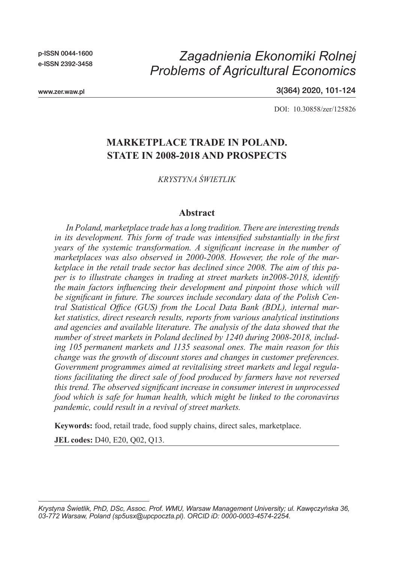p-ISSN 0044-1600 e-ISSN 2392-3458

# *Zagadnienia Ekonomiki Rolnej Problems of Agricultural Economics*

www.zer.waw.pl

3(364) 2020, 101-124

DOI: 10.30858/zer/125826

# **MARKETPLACE TRADE IN POLAND. STATE IN 2008-2018 AND PROSPECTS**

*KRYSTYNA ŚWIETLIK*

#### **Abstract**

*In Poland, marketplace trade has a long tradition. There are interesting trends in its development. This form of trade was intensified substantially in the first years of the systemic transformation. A significant increase in the number of marketplaces was also observed in 2000-2008. However, the role of the marketplace in the retail trade sector has declined since 2008. The aim of this paper is to illustrate changes in trading at street markets in2008-2018, identify the main factors influencing their development and pinpoint those which will be significant in future. The sources include secondary data of the Polish Central Statistical Office (GUS) from the Local Data Bank (BDL), internal market statistics, direct research results, reports from various analytical institutions and agencies and available literature. The analysis of the data showed that the number of street markets in Poland declined by 1240 during 2008-2018, including 105 permanent markets and 1135 seasonal ones. The main reason for this change was the growth of discount stores and changes in customer preferences. Government programmes aimed at revitalising street markets and legal regulations facilitating the direct sale of food produced by farmers have not reversed this trend. The observed significant increase in consumer interest in unprocessed food which is safe for human health, which might be linked to the coronavirus pandemic, could result in a revival of street markets.*

**Keywords:** food, retail trade, food supply chains, direct sales, marketplace.

**JEL codes:** D40, E20, Q02, Q13.

*Krystyna Świetlik, PhD, DSc, Assoc. Prof. WMU, Warsaw Management University; ul. Kawęczyńska 36, 03-772 Warsaw, Poland (sp5usx@upcpoczta.pl). ORCID iD: 0000-0003-4574-2254.*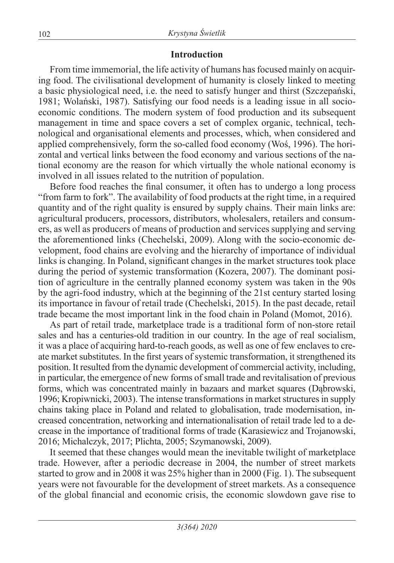### **Introduction**

From time immemorial, the life activity of humans has focused mainly on acquiring food. The civilisational development of humanity is closely linked to meeting a basic physiological need, i.e. the need to satisfy hunger and thirst (Szczepański, 1981; Wolański, 1987). Satisfying our food needs is a leading issue in all socioeconomic conditions. The modern system of food production and its subsequent management in time and space covers a set of complex organic, technical, technological and organisational elements and processes, which, when considered and applied comprehensively, form the so-called food economy (Woś, 1996). The horizontal and vertical links between the food economy and various sections of the national economy are the reason for which virtually the whole national economy is involved in all issues related to the nutrition of population.

Before food reaches the final consumer, it often has to undergo a long process "from farm to fork". The availability of food products at the right time, in a required quantity and of the right quality is ensured by supply chains. Their main links are: agricultural producers, processors, distributors, wholesalers, retailers and consumers, as well as producers of means of production and services supplying and serving the aforementioned links (Chechelski, 2009). Along with the socio-economic development, food chains are evolving and the hierarchy of importance of individual links is changing. In Poland, significant changes in the market structures took place during the period of systemic transformation (Kozera, 2007). The dominant position of agriculture in the centrally planned economy system was taken in the 90s by the agri-food industry, which at the beginning of the 21st century started losing its importance in favour of retail trade (Chechelski, 2015). In the past decade, retail trade became the most important link in the food chain in Poland (Momot, 2016).

As part of retail trade, marketplace trade is a traditional form of non-store retail sales and has a centuries-old tradition in our country. In the age of real socialism, it was a place of acquiring hard-to-reach goods, as well as one of few enclaves to create market substitutes. In the first years of systemic transformation, it strengthened its position. It resulted from the dynamic development of commercial activity, including, in particular, the emergence of new forms of small trade and revitalisation of previous forms, which was concentrated mainly in bazaars and market squares (Dąbrowski, 1996; Kropiwnicki, 2003). The intense transformations in market structures in supply chains taking place in Poland and related to globalisation, trade modernisation, increased concentration, networking and internationalisation of retail trade led to a decrease in the importance of traditional forms of trade (Karasiewicz and Trojanowski, 2016; Michalczyk, 2017; Plichta, 2005; Szymanowski, 2009).

It seemed that these changes would mean the inevitable twilight of marketplace trade. However, after a periodic decrease in 2004, the number of street markets started to grow and in 2008 it was 25% higher than in 2000 (Fig. 1). The subsequent years were not favourable for the development of street markets. As a consequence of the global financial and economic crisis, the economic slowdown gave rise to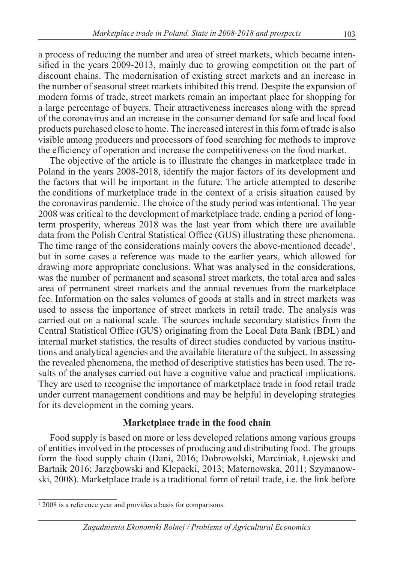a process of reducing the number and area of street markets, which became intensified in the years 2009-2013, mainly due to growing competition on the part of discount chains. The modernisation of existing street markets and an increase in the number of seasonal street markets inhibited this trend. Despite the expansion of modern forms of trade, street markets remain an important place for shopping for a large percentage of buyers. Their attractiveness increases along with the spread of the coronavirus and an increase in the consumer demand for safe and local food products purchased close to home. The increased interest in this form of trade is also visible among producers and processors of food searching for methods to improve the efficiency of operation and increase the competitiveness on the food market.

The objective of the article is to illustrate the changes in marketplace trade in Poland in the years 2008-2018, identify the major factors of its development and the factors that will be important in the future. The article attempted to describe the conditions of marketplace trade in the context of a crisis situation caused by the coronavirus pandemic. The choice of the study period was intentional. The year 2008 was critical to the development of marketplace trade, ending a period of longterm prosperity, whereas 2018 was the last year from which there are available data from the Polish Central Statistical Office (GUS) illustrating these phenomena. The time range of the considerations mainly covers the above-mentioned decade<sup>1</sup>, but in some cases a reference was made to the earlier years, which allowed for drawing more appropriate conclusions. What was analysed in the considerations, was the number of permanent and seasonal street markets, the total area and sales area of permanent street markets and the annual revenues from the marketplace fee. Information on the sales volumes of goods at stalls and in street markets was used to assess the importance of street markets in retail trade. The analysis was carried out on a national scale. The sources include secondary statistics from the Central Statistical Office (GUS) originating from the Local Data Bank (BDL) and internal market statistics, the results of direct studies conducted by various institutions and analytical agencies and the available literature of the subject. In assessing the revealed phenomena, the method of descriptive statistics has been used. The results of the analyses carried out have a cognitive value and practical implications. They are used to recognise the importance of marketplace trade in food retail trade under current management conditions and may be helpful in developing strategies for its development in the coming years.

#### **Marketplace trade in the food chain**

Food supply is based on more or less developed relations among various groups of entities involved in the processes of producing and distributing food. The groups form the food supply chain (Dani, 2016; Dobrowolski, Marciniak, Łojewski and Bartnik 2016; Jarzębowski and Klepacki, 2013; Maternowska, 2011; Szymanowski, 2008). Marketplace trade is a traditional form of retail trade, i.e. the link before

<sup>&</sup>lt;sup>1</sup> 2008 is a reference year and provides a basis for comparisons.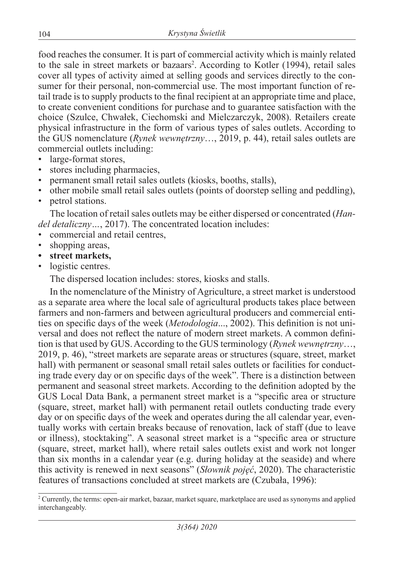food reaches the consumer. It is part of commercial activity which is mainly related to the sale in street markets or bazaars<sup>2</sup>. According to Kotler (1994), retail sales cover all types of activity aimed at selling goods and services directly to the consumer for their personal, non-commercial use. The most important function of retail trade is to supply products to the final recipient at an appropriate time and place, to create convenient conditions for purchase and to guarantee satisfaction with the choice (Szulce, Chwałek, Ciechomski and Mielczarczyk, 2008). Retailers create physical infrastructure in the form of various types of sales outlets. According to the GUS nomenclature (*Rynek wewnętrzny*…, 2019, p. 44), retail sales outlets are commercial outlets including:

- large-format stores,
- stores including pharmacies,
- permanent small retail sales outlets (kiosks, booths, stalls),
- other mobile small retail sales outlets (points of doorstep selling and peddling),
- petrol stations.

The location of retail sales outlets may be either dispersed or concentrated (*Handel detaliczny…*, 2017). The concentrated location includes:

- commercial and retail centres,
- shopping areas,
- **• street markets,**
- logistic centres.

The dispersed location includes: stores, kiosks and stalls.

In the nomenclature of the Ministry of Agriculture, a street market is understood as a separate area where the local sale of agricultural products takes place between farmers and non-farmers and between agricultural producers and commercial entities on specific days of the week (*Metodologia*..., 2002). This definition is not universal and does not reflect the nature of modern street markets. A common definition is that used by GUS. According to the GUS terminology (*Rynek wewnętrzny*…, 2019, p. 46), "street markets are separate areas or structures (square, street, market hall) with permanent or seasonal small retail sales outlets or facilities for conducting trade every day or on specific days of the week". There is a distinction between permanent and seasonal street markets. According to the definition adopted by the GUS Local Data Bank, a permanent street market is a "specific area or structure (square, street, market hall) with permanent retail outlets conducting trade every day or on specific days of the week and operates during the all calendar year, eventually works with certain breaks because of renovation, lack of staff (due to leave or illness), stocktaking". A seasonal street market is a "specific area or structure (square, street, market hall), where retail sales outlets exist and work not longer than six months in a calendar year (e.g. during holiday at the seaside) and where this activity is renewed in next seasons" (*Słownik pojęć*, 2020). The characteristic features of transactions concluded at street markets are (Czubała, 1996):

<sup>2</sup> Currently, the terms: open-air market, bazaar, market square, marketplace are used as synonyms and applied interchangeably.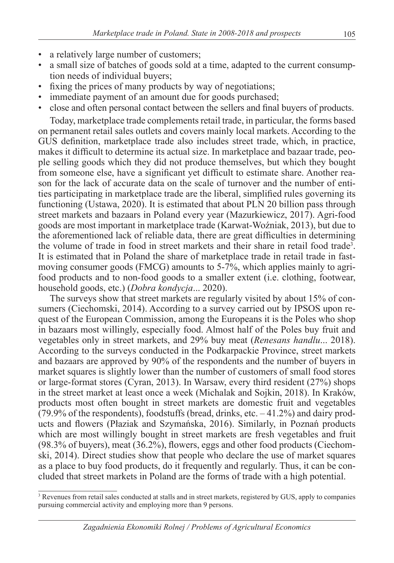- a relatively large number of customers;
- a small size of batches of goods sold at a time, adapted to the current consumption needs of individual buyers;
- fixing the prices of many products by way of negotiations;
- immediate payment of an amount due for goods purchased;
- close and often personal contact between the sellers and final buyers of products.

Today, marketplace trade complements retail trade, in particular, the forms based on permanent retail sales outlets and covers mainly local markets. According to the GUS definition, marketplace trade also includes street trade, which, in practice, makes it difficult to determine its actual size. In marketplace and bazaar trade, people selling goods which they did not produce themselves, but which they bought from someone else, have a significant yet difficult to estimate share. Another reason for the lack of accurate data on the scale of turnover and the number of entities participating in marketplace trade are the liberal, simplified rules governing its functioning (Ustawa, 2020). It is estimated that about PLN 20 billion pass through street markets and bazaars in Poland every year (Mazurkiewicz, 2017). Agri-food goods are most important in marketplace trade (Karwat-Woźniak, 2013), but due to the aforementioned lack of reliable data, there are great difficulties in determining the volume of trade in food in street markets and their share in retail food trade3 . It is estimated that in Poland the share of marketplace trade in retail trade in fastmoving consumer goods (FMCG) amounts to 5-7%, which applies mainly to agrifood products and to non-food goods to a smaller extent (i.e. clothing, footwear, household goods, etc.) (*Dobra kondycja*... 2020).

The surveys show that street markets are regularly visited by about 15% of consumers (Ciechomski, 2014). According to a survey carried out by IPSOS upon request of the European Commission, among the Europeans it is the Poles who shop in bazaars most willingly, especially food. Almost half of the Poles buy fruit and vegetables only in street markets, and 29% buy meat (*Renesans handlu*... 2018). According to the surveys conducted in the Podkarpackie Province, street markets and bazaars are approved by 90% of the respondents and the number of buyers in market squares is slightly lower than the number of customers of small food stores or large-format stores (Cyran, 2013). In Warsaw, every third resident (27%) shops in the street market at least once a week (Michalak and Sojkin, 2018). In Kraków, products most often bought in street markets are domestic fruit and vegetables (79.9% of the respondents), foodstuffs (bread, drinks, etc. – 41.2%) and dairy products and flowers (Płaziak and Szymańska, 2016). Similarly, in Poznań products which are most willingly bought in street markets are fresh vegetables and fruit (98.3% of buyers), meat (36.2%), flowers, eggs and other food products (Ciechomski, 2014). Direct studies show that people who declare the use of market squares as a place to buy food products, do it frequently and regularly. Thus, it can be concluded that street markets in Poland are the forms of trade with a high potential.

<sup>&</sup>lt;sup>3</sup> Revenues from retail sales conducted at stalls and in street markets, registered by GUS, apply to companies pursuing commercial activity and employing more than 9 persons.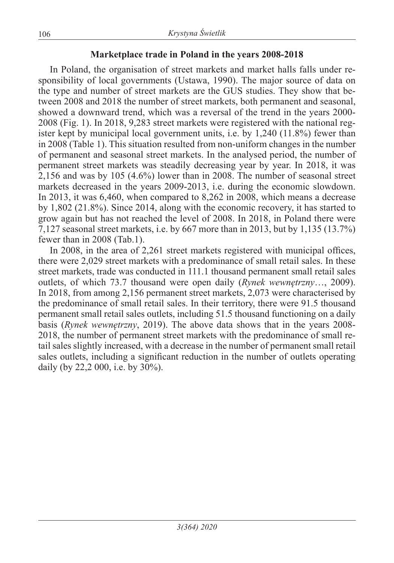### **Marketplace trade in Poland in the years 2008-2018**

In Poland, the organisation of street markets and market halls falls under responsibility of local governments (Ustawa, 1990). The major source of data on the type and number of street markets are the GUS studies. They show that between 2008 and 2018 the number of street markets, both permanent and seasonal, showed a downward trend, which was a reversal of the trend in the years 2000- 2008 (Fig. 1). In 2018, 9,283 street markets were registered with the national register kept by municipal local government units, i.e. by 1,240 (11.8%) fewer than in 2008 (Table 1). This situation resulted from non-uniform changes in the number of permanent and seasonal street markets. In the analysed period, the number of permanent street markets was steadily decreasing year by year. In 2018, it was 2,156 and was by 105 (4.6%) lower than in 2008. The number of seasonal street markets decreased in the years 2009-2013, i.e. during the economic slowdown. In 2013, it was 6,460, when compared to 8,262 in 2008, which means a decrease by 1,802 (21.8%). Since 2014, along with the economic recovery, it has started to grow again but has not reached the level of 2008. In 2018, in Poland there were 7,127 seasonal street markets, i.e. by 667 more than in 2013, but by 1,135 (13.7%) fewer than in 2008 (Tab.1).

In 2008, in the area of 2,261 street markets registered with municipal offices, there were 2,029 street markets with a predominance of small retail sales. In these street markets, trade was conducted in 111.1 thousand permanent small retail sales outlets, of which 73.7 thousand were open daily (*Rynek wewnętrzny*…, 2009). In 2018, from among 2,156 permanent street markets, 2,073 were characterised by the predominance of small retail sales. In their territory, there were 91.5 thousand permanent small retail sales outlets, including 51.5 thousand functioning on a daily basis (*Rynek wewnętrzny*, 2019). The above data shows that in the years 2008- 2018, the number of permanent street markets with the predominance of small retail sales slightly increased, with a decrease in the number of permanent small retail sales outlets, including a significant reduction in the number of outlets operating daily (by 22,2 000, i.e. by 30%).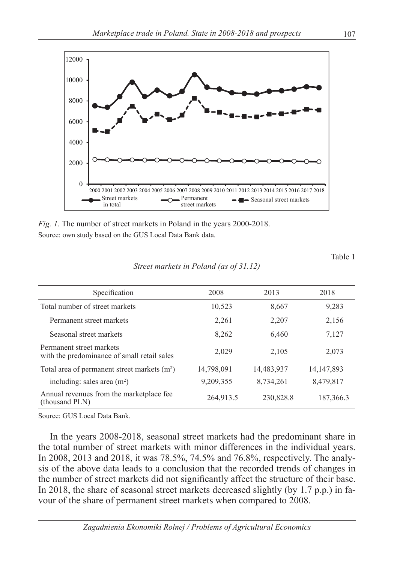

*Fig. 1*. The number of street markets in Poland in the years 2000-2018. Source: own study based on the GUS Local Data Bank data.

*Street markets in Poland (as of 31.12)*

| Specification                                                           | 2008       | 2013       | 2018         |
|-------------------------------------------------------------------------|------------|------------|--------------|
| Total number of street markets                                          | 10,523     | 8,667      | 9,283        |
| Permanent street markets                                                | 2,261      | 2,207      | 2,156        |
| Seasonal street markets                                                 | 8,262      | 6,460      | 7,127        |
| Permanent street markets<br>with the predominance of small retail sales | 2,029      | 2,105      | 2,073        |
| Total area of permanent street markets (m <sup>2</sup> )                | 14,798,091 | 14,483,937 | 14, 147, 893 |
| including: sales area $(m2)$                                            | 9,209,355  | 8,734,261  | 8,479,817    |
| Annual revenues from the marketplace fee<br>(thousand PLN)              | 264,913.5  | 230,828.8  | 187,366.3    |

Source: GUS Local Data Bank.

In the years 2008-2018, seasonal street markets had the predominant share in the total number of street markets with minor differences in the individual years. In 2008, 2013 and 2018, it was 78.5%, 74.5% and 76.8%, respectively. The analysis of the above data leads to a conclusion that the recorded trends of changes in the number of street markets did not significantly affect the structure of their base. In 2018, the share of seasonal street markets decreased slightly (by 1.7 p.p.) in favour of the share of permanent street markets when compared to 2008.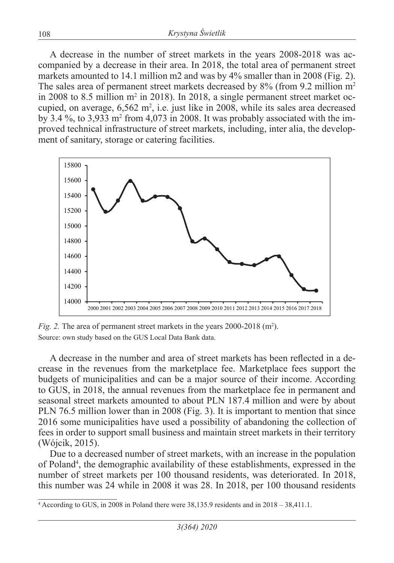A decrease in the number of street markets in the years 2008-2018 was accompanied by a decrease in their area. In 2018, the total area of permanent street markets amounted to 14.1 million m2 and was by 4% smaller than in 2008 (Fig. 2). The sales area of permanent street markets decreased by 8% (from 9.2 million m<sup>2</sup> in 2008 to 8.5 million  $m^2$  in 2018). In 2018, a single permanent street market occupied, on average,  $6,562 \text{ m}^2$ , i.e. just like in 2008, while its sales area decreased by 3.4 %, to 3,933 m2 from 4,073 in 2008. It was probably associated with the improved technical infrastructure of street markets, including, inter alia, the development of sanitary, storage or catering facilities.



*Fig. 2.* The area of permanent street markets in the years 2000-2018 (m<sup>2</sup>). Source: own study based on the GUS Local Data Bank data.

A decrease in the number and area of street markets has been reflected in a decrease in the revenues from the marketplace fee. Marketplace fees support the budgets of municipalities and can be a major source of their income. According to GUS, in 2018, the annual revenues from the marketplace fee in permanent and seasonal street markets amounted to about PLN 187.4 million and were by about PLN 76.5 million lower than in 2008 (Fig. 3). It is important to mention that since 2016 some municipalities have used a possibility of abandoning the collection of fees in order to support small business and maintain street markets in their territory (Wójcik, 2015).

Due to a decreased number of street markets, with an increase in the population of Poland4 , the demographic availability of these establishments, expressed in the number of street markets per 100 thousand residents, was deteriorated. In 2018, this number was 24 while in 2008 it was 28. In 2018, per 100 thousand residents

<sup>4</sup> According to GUS, in 2008 in Poland there were 38,135.9 residents and in 2018 – 38,411.1.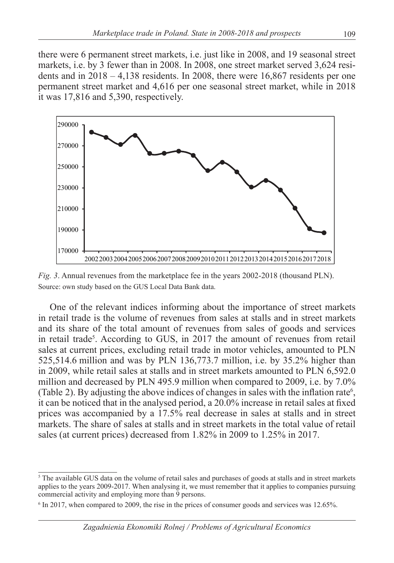there were 6 permanent street markets, i.e. just like in 2008, and 19 seasonal street markets, i.e. by 3 fewer than in 2008. In 2008, one street market served 3,624 residents and in  $2018 - 4,138$  residents. In  $2008$ , there were 16,867 residents per one permanent street market and 4,616 per one seasonal street market, while in 2018 it was 17,816 and 5,390, respectively.



*Fig. 3.* Annual revenues from the marketplace fee in the years 2002-2018 (thousand PLN). Source: own study based on the GUS Local Data Bank data.

One of the relevant indices informing about the importance of street markets in retail trade is the volume of revenues from sales at stalls and in street markets and its share of the total amount of revenues from sales of goods and services in retail trade<sup>5</sup>. According to GUS, in 2017 the amount of revenues from retail sales at current prices, excluding retail trade in motor vehicles, amounted to PLN 525,514.6 million and was by PLN 136,773.7 million, i.e. by 35.2% higher than in 2009, while retail sales at stalls and in street markets amounted to PLN 6,592.0 million and decreased by PLN 495.9 million when compared to 2009, i.e. by 7.0% (Table 2). By adjusting the above indices of changes in sales with the inflation rate<sup>6</sup>, it can be noticed that in the analysed period, a 20.0% increase in retail sales at fixed prices was accompanied by a 17.5% real decrease in sales at stalls and in street markets. The share of sales at stalls and in street markets in the total value of retail sales (at current prices) decreased from 1.82% in 2009 to 1.25% in 2017.

<sup>&</sup>lt;sup>5</sup> The available GUS data on the volume of retail sales and purchases of goods at stalls and in street markets applies to the years 2009-2017. When analysing it, we must remember that it applies to companies pursuing commercial activity and employing more than 9 persons.

<sup>&</sup>lt;sup>6</sup> In 2017, when compared to 2009, the rise in the prices of consumer goods and services was 12.65%.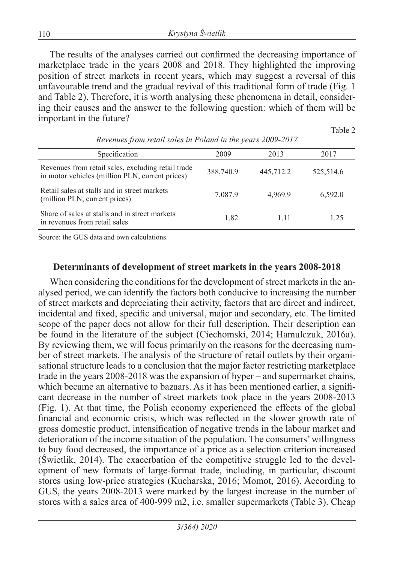The results of the analyses carried out confirmed the decreasing importance of marketplace trade in the years 2008 and 2018. They highlighted the improving position of street markets in recent years, which may suggest a reversal of this unfavourable trend and the gradual revival of this traditional form of trade (Fig. 1 and Table 2). Therefore, it is worth analysing these phenomena in detail, considering their causes and the answer to the following question: which of them will be important in the future?

Table 2

| Specification                                                                                         | 2009      | 2013      | 2017      |
|-------------------------------------------------------------------------------------------------------|-----------|-----------|-----------|
| Revenues from retail sales, excluding retail trade<br>in motor vehicles (million PLN, current prices) | 388,740.9 | 445,712.2 | 525,514.6 |
| Retail sales at stalls and in street markets<br>(million PLN, current prices)                         | 7,087.9   | 4.969.9   | 6,592.0   |
| Share of sales at stalls and in street markets<br>in revenues from retail sales                       | 1.82      | 1 1 1     | 1 25      |

*Revenues from retail sales in Poland in the years 2009-2017*

Source: the GUS data and own calculations.

### **Determinants of development of street markets in the years 2008-2018**

When considering the conditions for the development of street markets in the analysed period, we can identify the factors both conducive to increasing the number of street markets and depreciating their activity, factors that are direct and indirect, incidental and fixed, specific and universal, major and secondary, etc. The limited scope of the paper does not allow for their full description. Their description can be found in the literature of the subject (Ciechomski, 2014; Hamulczuk, 2016a). By reviewing them, we will focus primarily on the reasons for the decreasing number of street markets. The analysis of the structure of retail outlets by their organisational structure leads to a conclusion that the major factor restricting marketplace trade in the years 2008-2018 was the expansion of hyper – and supermarket chains, which became an alternative to bazaars. As it has been mentioned earlier, a significant decrease in the number of street markets took place in the years 2008-2013 (Fig. 1). At that time, the Polish economy experienced the effects of the global financial and economic crisis, which was reflected in the slower growth rate of gross domestic product, intensification of negative trends in the labour market and deterioration of the income situation of the population. The consumers' willingness to buy food decreased, the importance of a price as a selection criterion increased (Świetlik, 2014). The exacerbation of the competitive struggle led to the development of new formats of large-format trade, including, in particular, discount stores using low-price strategies (Kucharska, 2016; Momot, 2016). According to GUS, the years 2008-2013 were marked by the largest increase in the number of stores with a sales area of 400-999 m2, i.e. smaller supermarkets (Table 3). Cheap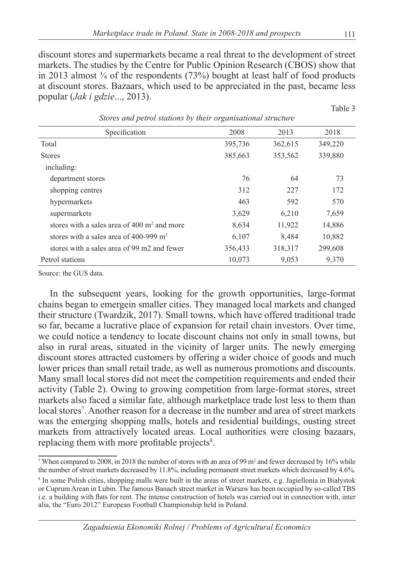discount stores and supermarkets became a real threat to the development of street markets. The studies by the Centre for Public Opinion Research (CBOS) show that in 2013 almost  $\frac{3}{4}$  of the respondents (73%) bought at least half of food products at discount stores. Bazaars, which used to be appreciated in the past, became less popular (*Jak i gdzie*..., 2013).

| stores and petrol stations by their organisational structure |         |         |         |  |  |
|--------------------------------------------------------------|---------|---------|---------|--|--|
| Specification                                                | 2008    | 2013    | 2018    |  |  |
| Total                                                        | 395,736 | 362,615 | 349,220 |  |  |
| <b>Stores</b>                                                | 385,663 | 353,562 | 339,880 |  |  |
| including:                                                   |         |         |         |  |  |
| department stores                                            | 76      | 64      | 73      |  |  |
| shopping centres                                             | 312     | 227     | 172     |  |  |
| hypermarkets                                                 | 463     | 592     | 570     |  |  |
| supermarkets                                                 | 3,629   | 6,210   | 7,659   |  |  |
| stores with a sales area of $400 \text{ m}^2$ and more       | 8,634   | 11,922  | 14,886  |  |  |
| stores with a sales area of $400-999$ m <sup>2</sup>         | 6,107   | 8,484   | 10,882  |  |  |
| stores with a sales area of 99 m2 and fewer                  | 356,433 | 318,317 | 299,608 |  |  |
| Petrol stations                                              | 10,073  | 9,053   | 9,370   |  |  |

*Stores and petrol stations by their organisational structure*

Source: the GUS data.

In the subsequent years, looking for the growth opportunities, large-format chains began to emergein smaller cities. They managed local markets and changed their structure (Twardzik, 2017). Small towns, which have offered traditional trade so far, became a lucrative place of expansion for retail chain investors. Over time, we could notice a tendency to locate discount chains not only in small towns, but also in rural areas, situated in the vicinity of larger units. The newly emerging discount stores attracted customers by offering a wider choice of goods and much lower prices than small retail trade, as well as numerous promotions and discounts. Many small local stores did not meet the competition requirements and ended their activity (Table 2). Owing to growing competition from large-format stores, street markets also faced a similar fate, although marketplace trade lost less to them than local stores<sup>7</sup>. Another reason for a decrease in the number and area of street markets was the emerging shopping malls, hotels and residential buildings, ousting street markets from attractively located areas. Local authorities were closing bazaars, replacing them with more profitable projects<sup>8</sup>.

Table 3

When compared to 2008, in 2018 the number of stores with an area of 99  $m<sup>2</sup>$  and fewer decreased by 16% while the number of street markets decreased by 11.8%, including permanent street markets which decreased by 4.6%.

<sup>8</sup> In some Polish cities, shopping malls were built in the areas of street markets, e.g. Jagiellonia in Białystok or Cuprum Arean in Lubin. The famous Banach street market in Warsaw has been occupied by so-called TBS i.e. a building with flats for rent. The intense construction of hotels was carried out in connection with, inter alia, the "Euro 2012" European Football Championship held in Poland.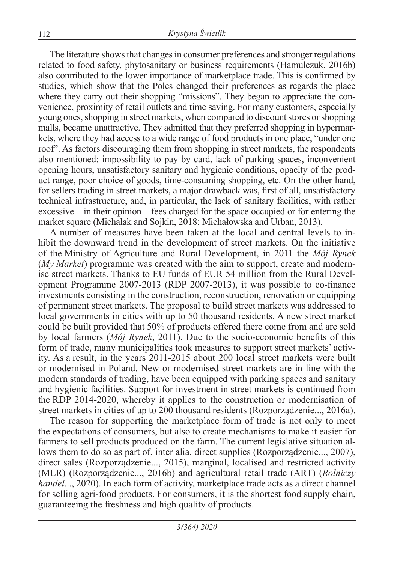The literature shows that changes in consumer preferences and stronger regulations related to food safety, phytosanitary or business requirements (Hamulczuk, 2016b) also contributed to the lower importance of marketplace trade. This is confirmed by studies, which show that the Poles changed their preferences as regards the place where they carry out their shopping "missions". They began to appreciate the convenience, proximity of retail outlets and time saving. For many customers, especially young ones, shopping in street markets, when compared to discount stores or shopping malls, became unattractive. They admitted that they preferred shopping in hypermarkets, where they had access to a wide range of food products in one place, "under one roof". As factors discouraging them from shopping in street markets, the respondents also mentioned: impossibility to pay by card, lack of parking spaces, inconvenient opening hours, unsatisfactory sanitary and hygienic conditions, opacity of the product range, poor choice of goods, time-consuming shopping, etc. On the other hand, for sellers trading in street markets, a major drawback was, first of all, unsatisfactory technical infrastructure, and, in particular, the lack of sanitary facilities, with rather excessive – in their opinion – fees charged for the space occupied or for entering the market square (Michalak and Sojkin, 2018; Michałowska and Urban, 2013).

A number of measures have been taken at the local and central levels to inhibit the downward trend in the development of street markets. On the initiative of the Ministry of Agriculture and Rural Development, in 2011 the *Mój Rynek* (*My Market*) programme was created with the aim to support, create and modernise street markets. Thanks to EU funds of EUR 54 million from the Rural Development Programme 2007-2013 (RDP 2007-2013), it was possible to co-finance investments consisting in the construction, reconstruction, renovation or equipping of permanent street markets. The proposal to build street markets was addressed to local governments in cities with up to 50 thousand residents. A new street market could be built provided that 50% of products offered there come from and are sold by local farmers (*Mój Rynek*, 2011). Due to the socio-economic benefits of this form of trade, many municipalities took measures to support street markets' activity. As a result, in the years 2011-2015 about 200 local street markets were built or modernised in Poland. New or modernised street markets are in line with the modern standards of trading, have been equipped with parking spaces and sanitary and hygienic facilities. Support for investment in street markets is continued from the RDP 2014-2020, whereby it applies to the construction or modernisation of street markets in cities of up to 200 thousand residents (Rozporządzenie..., 2016a).

The reason for supporting the marketplace form of trade is not only to meet the expectations of consumers, but also to create mechanisms to make it easier for farmers to sell products produced on the farm. The current legislative situation allows them to do so as part of, inter alia, direct supplies (Rozporządzenie..., 2007), direct sales (Rozporządzenie..., 2015), marginal, localised and restricted activity (MLR) (Rozporządzenie..., 2016b) and agricultural retail trade (ART) (*Rolniczy handel...*, 2020). In each form of activity, marketplace trade acts as a direct channel for selling agri-food products. For consumers, it is the shortest food supply chain, guaranteeing the freshness and high quality of products.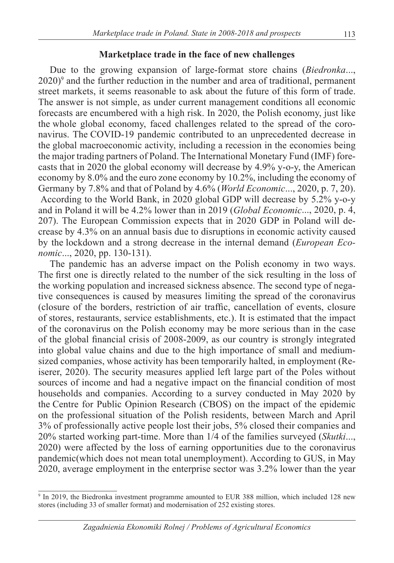#### **Marketplace trade in the face of new challenges**

Due to the growing expansion of large-format store chains (*Biedronka*..., 2020)<sup>9</sup> and the further reduction in the number and area of traditional, permanent street markets, it seems reasonable to ask about the future of this form of trade. The answer is not simple, as under current management conditions all economic forecasts are encumbered with a high risk. In 2020, the Polish economy, just like the whole global economy, faced challenges related to the spread of the coronavirus. The COVID-19 pandemic contributed to an unprecedented decrease in the global macroeconomic activity, including a recession in the economies being the major trading partners of Poland. The International Monetary Fund (IMF) forecasts that in 2020 the global economy will decrease by 4.9% y-o-y, the American economy by 8.0% and the euro zone economy by 10.2%, including the economy of Germany by 7.8% and that of Poland by 4.6% (*World Economic*..., 2020, p. 7, 20). According to the World Bank, in 2020 global GDP will decrease by 5.2% y-o-y and in Poland it will be 4.2% lower than in 2019 (*Global Economic*..., 2020, p. 4, 207). The European Commission expects that in 2020 GDP in Poland will decrease by 4.3% on an annual basis due to disruptions in economic activity caused by the lockdown and a strong decrease in the internal demand (*European Economic*..., 2020, pp. 130-131).

The pandemic has an adverse impact on the Polish economy in two ways. The first one is directly related to the number of the sick resulting in the loss of the working population and increased sickness absence. The second type of negative consequences is caused by measures limiting the spread of the coronavirus (closure of the borders, restriction of air traffic, cancellation of events, closure of stores, restaurants, service establishments, etc.). It is estimated that the impact of the coronavirus on the Polish economy may be more serious than in the case of the global financial crisis of 2008-2009, as our country is strongly integrated into global value chains and due to the high importance of small and mediumsized companies, whose activity has been temporarily halted, in employment (Reiserer, 2020). The security measures applied left large part of the Poles without sources of income and had a negative impact on the financial condition of most households and companies. According to a survey conducted in May 2020 by the Centre for Public Opinion Research (CBOS) on the impact of the epidemic on the professional situation of the Polish residents, between March and April 3% of professionally active people lost their jobs, 5% closed their companies and 20% started working part-time. More than 1/4 of the families surveyed (*Skutki*..., 2020) were affected by the loss of earning opportunities due to the coronavirus pandemic(which does not mean total unemployment). According to GUS, in May 2020, average employment in the enterprise sector was 3.2% lower than the year

<sup>9</sup> In 2019, the Biedronka investment programme amounted to EUR 388 million, which included 128 new stores (including 33 of smaller format) and modernisation of 252 existing stores.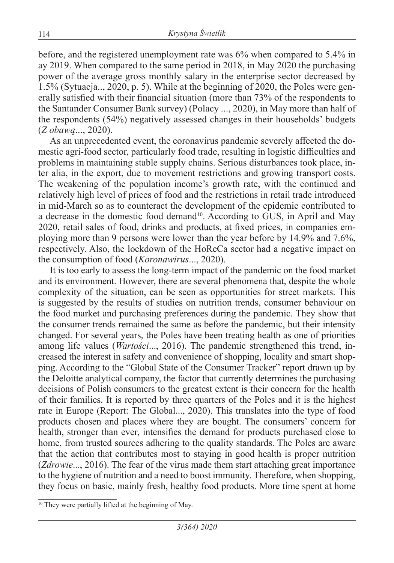before, and the registered unemployment rate was 6% when compared to 5.4% in ay 2019. When compared to the same period in 2018, in May 2020 the purchasing power of the average gross monthly salary in the enterprise sector decreased by 1.5% (Sytuacja.., 2020, p. 5). While at the beginning of 2020, the Poles were generally satisfied with their financial situation (more than 73% of the respondents to the Santander Consumer Bank survey) (Polacy ..., 2020), in May more than half of the respondents (54%) negatively assessed changes in their households' budgets (*Z obawą*..., 2020).

As an unprecedented event, the coronavirus pandemic severely affected the domestic agri-food sector, particularly food trade, resulting in logistic difficulties and problems in maintaining stable supply chains. Serious disturbances took place, inter alia, in the export, due to movement restrictions and growing transport costs. The weakening of the population income's growth rate, with the continued and relatively high level of prices of food and the restrictions in retail trade introduced in mid-March so as to counteract the development of the epidemic contributed to a decrease in the domestic food demand<sup>10</sup>. According to GUS, in April and May 2020, retail sales of food, drinks and products, at fixed prices, in companies employing more than 9 persons were lower than the year before by 14.9% and 7.6%, respectively. Also, the lockdown of the HoReCa sector had a negative impact on the consumption of food (*Koronawirus*..., 2020).

It is too early to assess the long-term impact of the pandemic on the food market and its environment. However, there are several phenomena that, despite the whole complexity of the situation, can be seen as opportunities for street markets. This is suggested by the results of studies on nutrition trends, consumer behaviour on the food market and purchasing preferences during the pandemic. They show that the consumer trends remained the same as before the pandemic, but their intensity changed. For several years, the Poles have been treating health as one of priorities among life values (*Wartości*..., 2016). The pandemic strengthened this trend, increased the interest in safety and convenience of shopping, locality and smart shopping. According to the "Global State of the Consumer Tracker" report drawn up by the Deloitte analytical company, the factor that currently determines the purchasing decisions of Polish consumers to the greatest extent is their concern for the health of their families. It is reported by three quarters of the Poles and it is the highest rate in Europe (Report: The Global..., 2020). This translates into the type of food products chosen and places where they are bought. The consumers' concern for health, stronger than ever, intensifies the demand for products purchased close to home, from trusted sources adhering to the quality standards. The Poles are aware that the action that contributes most to staying in good health is proper nutrition (*Zdrowie*..., 2016). The fear of the virus made them start attaching great importance to the hygiene of nutrition and a need to boost immunity. Therefore, when shopping, they focus on basic, mainly fresh, healthy food products. More time spent at home

<sup>&</sup>lt;sup>10</sup> They were partially lifted at the beginning of May.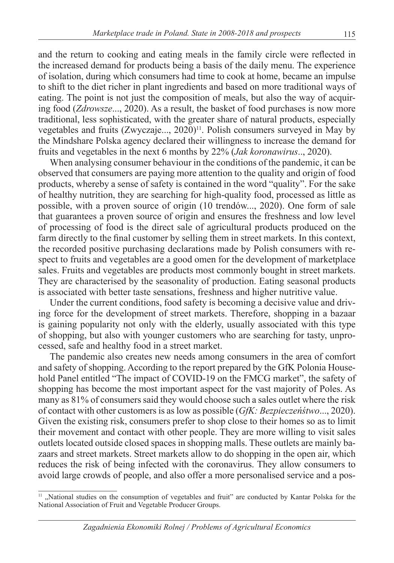and the return to cooking and eating meals in the family circle were reflected in the increased demand for products being a basis of the daily menu. The experience of isolation, during which consumers had time to cook at home, became an impulse to shift to the diet richer in plant ingredients and based on more traditional ways of eating. The point is not just the composition of meals, but also the way of acquiring food (*Zdrowsze*..., 2020). As a result, the basket of food purchases is now more traditional, less sophisticated, with the greater share of natural products, especially vegetables and fruits  $(Zwyczaje...$ ,  $2020)^{11}$ . Polish consumers surveyed in May by the Mindshare Polska agency declared their willingness to increase the demand for fruits and vegetables in the next 6 months by 22% (*Jak koronawirus*.., 2020).

When analysing consumer behaviour in the conditions of the pandemic, it can be observed that consumers are paying more attention to the quality and origin of food products, whereby a sense of safety is contained in the word "quality". For the sake of healthy nutrition, they are searching for high-quality food, processed as little as possible, with a proven source of origin (10 trendów..., 2020). One form of sale that guarantees a proven source of origin and ensures the freshness and low level of processing of food is the direct sale of agricultural products produced on the farm directly to the final customer by selling them in street markets. In this context, the recorded positive purchasing declarations made by Polish consumers with respect to fruits and vegetables are a good omen for the development of marketplace sales. Fruits and vegetables are products most commonly bought in street markets. They are characterised by the seasonality of production. Eating seasonal products is associated with better taste sensations, freshness and higher nutritive value.

Under the current conditions, food safety is becoming a decisive value and driving force for the development of street markets. Therefore, shopping in a bazaar is gaining popularity not only with the elderly, usually associated with this type of shopping, but also with younger customers who are searching for tasty, unprocessed, safe and healthy food in a street market.

The pandemic also creates new needs among consumers in the area of comfort and safety of shopping. According to the report prepared by the GfK Polonia Household Panel entitled "The impact of COVID-19 on the FMCG market", the safety of shopping has become the most important aspect for the vast majority of Poles. As many as 81% of consumers said they would choose such a sales outlet where the risk of contact with other customers is as low as possible (*GfK: Bezpieczeńśtwo*..., 2020). Given the existing risk, consumers prefer to shop close to their homes so as to limit their movement and contact with other people. They are more willing to visit sales outlets located outside closed spaces in shopping malls. These outlets are mainly bazaars and street markets. Street markets allow to do shopping in the open air, which reduces the risk of being infected with the coronavirus. They allow consumers to avoid large crowds of people, and also offer a more personalised service and a pos-

 $11$ , National studies on the consumption of vegetables and fruit" are conducted by Kantar Polska for the National Association of Fruit and Vegetable Producer Groups.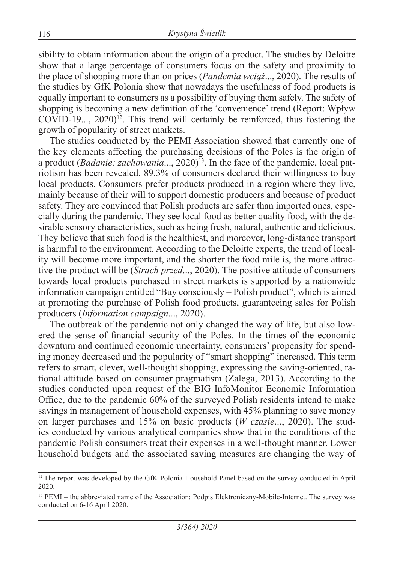sibility to obtain information about the origin of a product. The studies by Deloitte show that a large percentage of consumers focus on the safety and proximity to the place of shopping more than on prices (*Pandemia wciąż*..., 2020). The results of the studies by GfK Polonia show that nowadays the usefulness of food products is equally important to consumers as a possibility of buying them safely. The safety of shopping is becoming a new definition of the 'convenience' trend (Report: Wpływ  $COVID-19..., 2020$ <sup>12</sup>. This trend will certainly be reinforced, thus fostering the growth of popularity of street markets.

The studies conducted by the PEMI Association showed that currently one of the key elements affecting the purchasing decisions of the Poles is the origin of a product (*Badanie: zachowania*..., 2020)13. In the face of the pandemic, local patriotism has been revealed. 89.3% of consumers declared their willingness to buy local products. Consumers prefer products produced in a region where they live, mainly because of their will to support domestic producers and because of product safety. They are convinced that Polish products are safer than imported ones, especially during the pandemic. They see local food as better quality food, with the desirable sensory characteristics, such as being fresh, natural, authentic and delicious. They believe that such food is the healthiest, and moreover, long-distance transport is harmful to the environment. According to the Deloitte experts, the trend of locality will become more important, and the shorter the food mile is, the more attractive the product will be (*Strach przed*..., 2020). The positive attitude of consumers towards local products purchased in street markets is supported by a nationwide information campaign entitled "Buy consciously – Polish product", which is aimed at promoting the purchase of Polish food products, guaranteeing sales for Polish producers (*Information campaign*..., 2020).

The outbreak of the pandemic not only changed the way of life, but also lowered the sense of financial security of the Poles. In the times of the economic downturn and continued economic uncertainty, consumers' propensity for spending money decreased and the popularity of "smart shopping" increased. This term refers to smart, clever, well-thought shopping, expressing the saving-oriented, rational attitude based on consumer pragmatism (Zalega, 2013). According to the studies conducted upon request of the BIG InfoMonitor Economic Information Office, due to the pandemic 60% of the surveyed Polish residents intend to make savings in management of household expenses, with 45% planning to save money on larger purchases and 15% on basic products (*W czasie*..., 2020). The studies conducted by various analytical companies show that in the conditions of the pandemic Polish consumers treat their expenses in a well-thought manner. Lower household budgets and the associated saving measures are changing the way of

<sup>&</sup>lt;sup>12</sup> The report was developed by the GfK Polonia Household Panel based on the survey conducted in April 2020.

<sup>13</sup> PEMI – the abbreviated name of the Association: Podpis Elektroniczny-Mobile-Internet. The survey was conducted on 6-16 April 2020.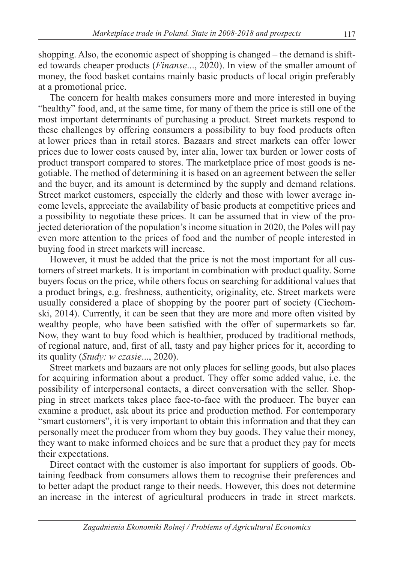shopping. Also, the economic aspect of shopping is changed – the demand is shifted towards cheaper products (*Finanse*..., 2020). In view of the smaller amount of money, the food basket contains mainly basic products of local origin preferably at a promotional price.

The concern for health makes consumers more and more interested in buying "healthy" food, and, at the same time, for many of them the price is still one of the most important determinants of purchasing a product. Street markets respond to these challenges by offering consumers a possibility to buy food products often at lower prices than in retail stores. Bazaars and street markets can offer lower prices due to lower costs caused by, inter alia, lower tax burden or lower costs of product transport compared to stores. The marketplace price of most goods is negotiable. The method of determining it is based on an agreement between the seller and the buyer, and its amount is determined by the supply and demand relations. Street market customers, especially the elderly and those with lower average income levels, appreciate the availability of basic products at competitive prices and a possibility to negotiate these prices. It can be assumed that in view of the projected deterioration of the population's income situation in 2020, the Poles will pay even more attention to the prices of food and the number of people interested in buying food in street markets will increase.

However, it must be added that the price is not the most important for all customers of street markets. It is important in combination with product quality. Some buyers focus on the price, while others focus on searching for additional values that a product brings, e.g. freshness, authenticity, originality, etc. Street markets were usually considered a place of shopping by the poorer part of society (Ciechomski, 2014). Currently, it can be seen that they are more and more often visited by wealthy people, who have been satisfied with the offer of supermarkets so far. Now, they want to buy food which is healthier, produced by traditional methods, of regional nature, and, first of all, tasty and pay higher prices for it, according to its quality (*Study: w czasie*..., 2020).

Street markets and bazaars are not only places for selling goods, but also places for acquiring information about a product. They offer some added value, i.e. the possibility of interpersonal contacts, a direct conversation with the seller. Shopping in street markets takes place face-to-face with the producer. The buyer can examine a product, ask about its price and production method. For contemporary "smart customers", it is very important to obtain this information and that they can personally meet the producer from whom they buy goods. They value their money, they want to make informed choices and be sure that a product they pay for meets their expectations.

Direct contact with the customer is also important for suppliers of goods. Obtaining feedback from consumers allows them to recognise their preferences and to better adapt the product range to their needs. However, this does not determine an increase in the interest of agricultural producers in trade in street markets.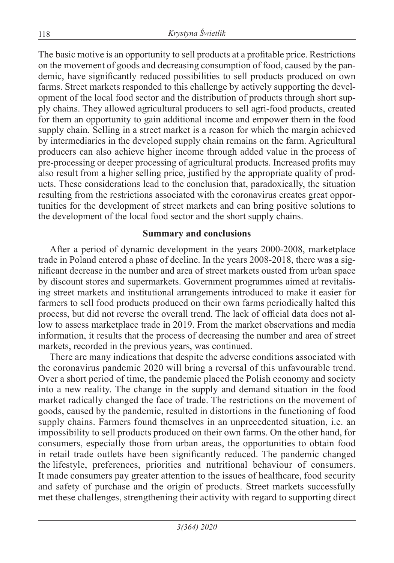The basic motive is an opportunity to sell products at a profitable price. Restrictions on the movement of goods and decreasing consumption of food, caused by the pandemic, have significantly reduced possibilities to sell products produced on own farms. Street markets responded to this challenge by actively supporting the development of the local food sector and the distribution of products through short supply chains. They allowed agricultural producers to sell agri-food products, created for them an opportunity to gain additional income and empower them in the food supply chain. Selling in a street market is a reason for which the margin achieved by intermediaries in the developed supply chain remains on the farm. Agricultural producers can also achieve higher income through added value in the process of pre-processing or deeper processing of agricultural products. Increased profits may also result from a higher selling price, justified by the appropriate quality of products. These considerations lead to the conclusion that, paradoxically, the situation resulting from the restrictions associated with the coronavirus creates great opportunities for the development of street markets and can bring positive solutions to the development of the local food sector and the short supply chains.

### **Summary and conclusions**

After a period of dynamic development in the years 2000-2008, marketplace trade in Poland entered a phase of decline. In the years 2008-2018, there was a significant decrease in the number and area of street markets ousted from urban space by discount stores and supermarkets. Government programmes aimed at revitalising street markets and institutional arrangements introduced to make it easier for farmers to sell food products produced on their own farms periodically halted this process, but did not reverse the overall trend. The lack of official data does not allow to assess marketplace trade in 2019. From the market observations and media information, it results that the process of decreasing the number and area of street markets, recorded in the previous years, was continued.

There are many indications that despite the adverse conditions associated with the coronavirus pandemic 2020 will bring a reversal of this unfavourable trend. Over a short period of time, the pandemic placed the Polish economy and society into a new reality. The change in the supply and demand situation in the food market radically changed the face of trade. The restrictions on the movement of goods, caused by the pandemic, resulted in distortions in the functioning of food supply chains. Farmers found themselves in an unprecedented situation, i.e. an impossibility to sell products produced on their own farms. On the other hand, for consumers, especially those from urban areas, the opportunities to obtain food in retail trade outlets have been significantly reduced. The pandemic changed the lifestyle, preferences, priorities and nutritional behaviour of consumers. It made consumers pay greater attention to the issues of healthcare, food security and safety of purchase and the origin of products. Street markets successfully met these challenges, strengthening their activity with regard to supporting direct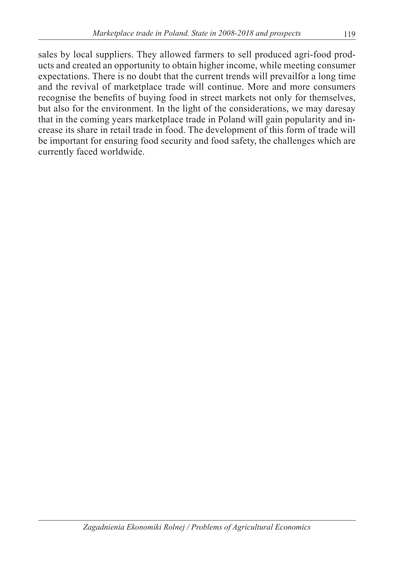sales by local suppliers. They allowed farmers to sell produced agri-food products and created an opportunity to obtain higher income, while meeting consumer expectations. There is no doubt that the current trends will prevailfor a long time and the revival of marketplace trade will continue. More and more consumers recognise the benefits of buying food in street markets not only for themselves, but also for the environment. In the light of the considerations, we may daresay that in the coming years marketplace trade in Poland will gain popularity and increase its share in retail trade in food. The development of this form of trade will be important for ensuring food security and food safety, the challenges which are currently faced worldwide.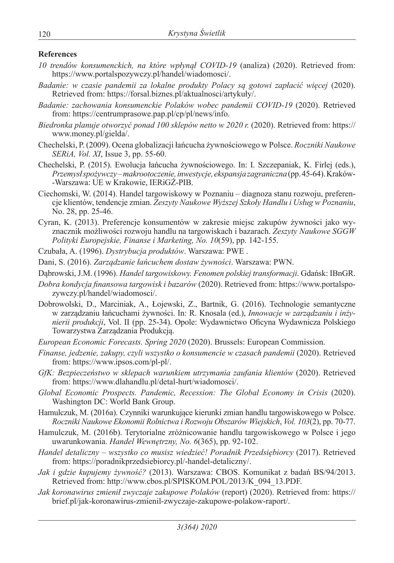#### **References**

- *10 trendów konsumenckich, na które wpłynął COVID-19* (analiza) (2020). Retrieved from: https://www.portalspozywczy.pl/handel/wiadomosci/.
- *Badanie: w czasie pandemii za lokalne produkty Polacy są gotowi zapłacić więcej* (2020). Retrieved from: https://forsal.biznes.pl/aktualnosci/artykuły/.
- *Badanie: zachowania konsumenckie Polaków wobec pandemii COVID-19* (2020). Retrieved from: https://centrumprasowe.pap.pl/cp/pl/news/info.
- *Biedronka planuje otworzyć ponad 100 sklepów netto w 2020 r.* (2020). Retrieved from: https:// www.money.pl/gielda/.
- Chechelski, P. (2009). Ocena globalizacji łańcucha żywnościowego w Polsce. *Roczniki Naukowe SERiA, Vol. XI*, Issue 3, pp. 55-60.
- Chechelski, P. (2015). Ewolucja łańcucha żywnościowego. In: I. Szczepaniak, K. Firlej (eds.), *Przemysł spożywczy – makrootoczenie, inwestycje, ekspansja zagraniczna* (pp. 45-64). Kraków- -Warszawa: UE w Krakowie, IERiGŻ-PIB.
- Ciechomski, W. (2014). Handel targowiskowy w Poznaniu diagnoza stanu rozwoju, preferencje klientów, tendencje zmian. *Zeszyty Naukowe Wyższej Szkoły Handlu i Usług w Poznaniu*, No. 28, pp. 25-46.
- Cyran, K. (2013). Preferencje konsumentów w zakresie miejsc zakupów żywności jako wyznacznik możliwości rozwoju handlu na targowiskach i bazarach. *Zeszyty Naukowe SGGW Polityki Europejskie, Finanse i Marketing, No. 10*(59), pp. 142-155.
- Czubała, A. (1996). *Dystrybucja produktów*. Warszawa: PWE .
- Dani, S. (2016). *Zarządzanie łańcuchem dostaw żywności*. Warszawa: PWN.
- Dąbrowski, J.M. (1996). *Handel targowiskowy. Fenomen polskiej transformacji*. Gdańsk: IBnGR.
- *Dobra kondycja finansowa targowisk i bazarów* (2020). Retrieved from: https://www.portalspozywczy.pl/handel/wiadomosci/.
- Dobrowolski, D., Marciniak, A., Łojewski, Z., Bartnik, G. (2016). Technologie semantyczne w zarządzaniu łańcuchami żywności. In: R. Knosala (ed.), *Innowacje w zarządzaniu i inżynierii produkcji*, Vol. II (pp. 25-34). Opole: Wydawnictwo Oficyna Wydawnicza Polskiego Towarzystwa Zarządzania Produkcją.
- *European Economic Forecasts. Spring 2020* (2020). Brussels: European Commission.
- *Finanse, jedzenie, zakupy, czyli wszystko o konsumencie w czasach pandemii* (2020). Retrieved from: https://www.ipsos.com/pl-pl/.
- *GfK: Bezpieczeństwo w sklepach warunkiem utrzymania zaufania klientów* (2020). Retrieved from: https://www.dlahandlu.pl/detal-hurt/wiadomosci/.
- *Global Economic Prospects. Pandemic, Recession: The Global Economy in Crisis* (2020). Washington DC: World Bank Group.
- Hamulczuk, M. (2016a). Czynniki warunkujące kierunki zmian handlu targowiskowego w Polsce. *Roczniki Naukowe Ekonomii Rolnictwa i Rozwoju Obszarów Wiejskich*, *Vol. 103*(2), pp. 70-77.
- Hamulczuk, M. (2016b). Terytorialne zróżnicowanie handlu targowiskowego w Polsce i jego uwarunkowania. *Handel Wewnętrzny, No. 6*(365), pp. 92-102.
- *Handel detaliczny wszystko co musisz wiedzieć! Poradnik Przedsiębiorcy* (2017). Retrieved from: https://poradnikprzedsiebiorcy.pl/-handel-detaliczny/.
- *Jak i gdzie kupujemy żywność?* (2013). Warszawa: CBOS. Komunikat z badań BS/94/2013. Retrieved from: http://www.cbos.pl/SPISKOM.POL/2013/K\_094\_13.PDF.
- *Jak koronawirus zmienił zwyczaje zakupowe Polaków* (report) (2020). Retrieved from: https:// brief.pl/jak-koronawirus-zmienil-zwyczaje-zakupowe-polakow-raport/.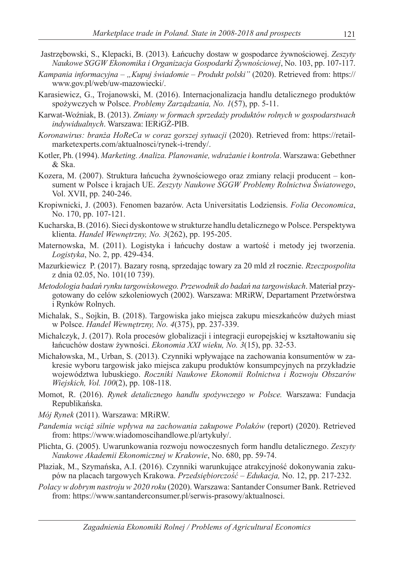- Jastrzębowski, S., Klepacki, B. (2013). Łańcuchy dostaw w gospodarce żywnościowej. *Zeszyty Naukowe SGGW Ekonomika i Organizacja Gospodarki Żywnościowej*, No. 103, pp. 107-117.
- *Kampania informacyjna "Kupuj świadomie Produkt polski"* (2020). Retrieved from: https:// www.gov.pl/web/uw-mazowiecki/.
- Karasiewicz, G., Trojanowski, M. (2016). Internacjonalizacja handlu detalicznego produktów spożywczych w Polsce. *Problemy Zarządzania, No. 1*(57), pp. 5-11.
- Karwat-Woźniak, B. (2013). *Zmiany w formach sprzedaży produktów rolnych w gospodarstwach indywidualnych*. Warszawa: IERiGŻ-PIB.
- *Koronawirus: branża HoReCa w coraz gorszej sytuacji* (2020). Retrieved from: https://retailmarketexperts.com/aktualnosci/rynek-i-trendy/.
- Kotler, Ph. (1994). *Marketing. Analiza. Planowanie, wdrażanie i kontrola*. Warszawa: Gebethner & Ska.
- Kozera, M. (2007). Struktura łańcucha żywnościowego oraz zmiany relacji producent konsument w Polsce i krajach UE. *Zeszyty Naukowe SGGW Problemy Rolnictwa Światowego*, Vol. XVII, pp. 240-246.
- Kropiwnicki, J. (2003). Fenomen bazarów. Acta Universitatis Lodziensis. *Folia Oeconomica*, No. 170, pp. 107-121.
- Kucharska, B. (2016). Sieci dyskontowe w strukturze handlu detalicznego w Polsce. Perspektywa klienta. *Handel Wewnętrzny, No. 3*(262), pp. 195-205.
- Maternowska, M. (2011). Logistyka i łańcuchy dostaw a wartość i metody jej tworzenia. *Logistyka*, No. 2, pp. 429-434.
- Mazurkiewicz P. (2017). Bazary rosną, sprzedając towary za 20 mld zł rocznie. *Rzeczpospolita* z dnia 02.05, No. 101(10 739).
- *Metodologia badań rynku targowiskowego. Przewodnik do badań na targowiskach*. Materiał przygotowany do celów szkoleniowych (2002). Warszawa: MRiRW, Departament Przetwórstwa i Rynków Rolnych.
- Michalak, S., Sojkin, B. (2018). Targowiska jako miejsca zakupu mieszkańców dużych miast w Polsce. *Handel Wewnętrzny, No. 4*(375), pp. 237-339.
- Michalczyk, J. (2017). Rola procesów globalizacji i integracji europejskiej w kształtowaniu się łańcuchów dostaw żywności. *Ekonomia XXI wieku, No. 3*(15), pp. 32-53.
- Michałowska, M., Urban, S. (2013). Czynniki wpływające na zachowania konsumentów w zakresie wyboru targowisk jako miejsca zakupu produktów konsumpcyjnych na przykładzie województwa lubuskiego. *Roczniki Naukowe Ekonomii Rolnictwa i Rozwoju Obszarów Wiejskich, Vol. 100*(2), pp. 108-118.
- Momot, R. (2016). *Rynek detalicznego handlu spożywczego w Polsce.* Warszawa: Fundacja Republikańska.
- *Mój Rynek* (2011). Warszawa: MRiRW.
- *Pandemia wciąż silnie wpływa na zachowania zakupowe Polaków* (report) (2020). Retrieved from: https://www.wiadomoscihandlowe.pl/artykuły/.
- Plichta, G. (2005). Uwarunkowania rozwoju nowoczesnych form handlu detalicznego. *Zeszyty Naukowe Akademii Ekonomicznej w Krakowie*, No. 680, pp. 59-74.
- Płaziak, M., Szymańska, A.I. (2016). Czynniki warunkujące atrakcyjność dokonywania zakupów na placach targowych Krakowa. *Przedsiębiorczość – Edukacja,* No. 12, pp. 217-232.
- *Polacy w dobrym nastroju w 2020 roku* (2020). Warszawa: Santander Consumer Bank. Retrieved from: https://www.santanderconsumer.pl/serwis-prasowy/aktualnosci.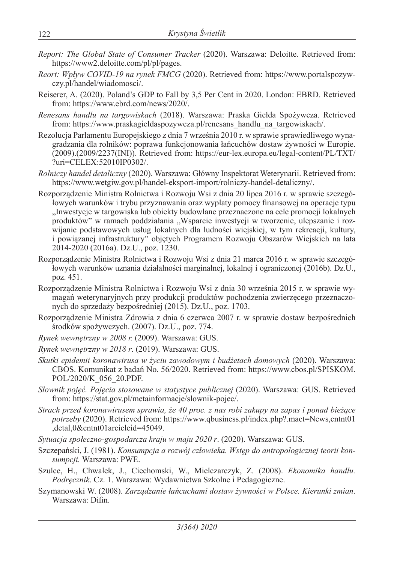- *Report: The Global State of Consumer Tracker* (2020). Warszawa: Deloitte. Retrieved from: https://www2.deloitte.com/pl/pl/pages.
- *Reort: Wpływ COVID-19 na rynek FMCG* (2020). Retrieved from: https://www.portalspozywczy.pl/handel/wiadomosci/.
- Reiserer, A. (2020). Poland's GDP to Fall by 3,5 Per Cent in 2020. London: EBRD. Retrieved from: https://www.ebrd.com/news/2020/.
- *Renesans handlu na targowiskach* (2018). Warszawa: Praska Giełda Spożywcza. Retrieved from: https://www.praskagieldaspozywcza.pl/renesans\_handlu\_na\_targowiskach/.
- Rezolucja Parlamentu Europejskiego z dnia 7 września 2010 r. w sprawie sprawiedliwego wynagradzania dla rolników: poprawa funkcjonowania łańcuchów dostaw żywności w Europie. (2009).(2009/2237(INI)). Retrieved from: https://eur-lex.europa.eu/legal-content/PL/TXT/ ?uri=CELEX:52010IP0302/.
- *Rolniczy handel detaliczny* (2020). Warszawa: Główny Inspektorat Weterynarii. Retrieved from: https://www.wetgiw.gov.pl/handel-eksport-import/rolniczy-handel-detaliczny/.
- Rozporządzenie Ministra Rolnictwa i Rozwoju Wsi z dnia 20 lipca 2016 r. w sprawie szczegółowych warunków i trybu przyznawania oraz wypłaty pomocy finansowej na operacje typu "Inwestycje w targowiska lub obiekty budowlane przeznaczone na cele promocji lokalnych produktów" w ramach poddziałania "Wsparcie inwestycji w tworzenie, ulepszanie i rozwijanie podstawowych usług lokalnych dla ludności wiejskiej, w tym rekreacji, kultury, i powiązanej infrastruktury" objętych Programem Rozwoju Obszarów Wiejskich na lata 2014-2020 (2016a). Dz.U., poz. 1230.
- Rozporządzenie Ministra Rolnictwa i Rozwoju Wsi z dnia 21 marca 2016 r. w sprawie szczegółowych warunków uznania działalności marginalnej, lokalnej i ograniczonej (2016b). Dz.U., poz. 451.
- Rozporządzenie Ministra Rolnictwa i Rozwoju Wsi z dnia 30 września 2015 r. w sprawie wymagań weterynaryjnych przy produkcji produktów pochodzenia zwierzęcego przeznaczonych do sprzedaży bezpośredniej (2015). Dz.U., poz. 1703.
- Rozporządzenie Ministra Zdrowia z dnia 6 czerwca 2007 r. w sprawie dostaw bezpośrednich środków spożywczych. (2007). Dz.U., poz. 774.
- *Rynek wewnętrzny w 2008 r.* (2009). Warszawa: GUS.
- *Rynek wewnętrzny w 2018 r*. (2019). Warszawa: GUS.
- *Skutki epidemii koronawirusa w życiu zawodowym i budżetach domowych* (2020). Warszawa: CBOS. Komunikat z badań No. 56/2020. Retrieved from: https://www.cbos.pl/SPISKOM. POL/2020/K\_056\_20.PDF.
- *Słownik pojęć. Pojęcia stosowane w statystyce publicznej* (2020). Warszawa: GUS. Retrieved from: https://stat.gov.pl/metainformacje/slownik-pojec/.
- *Strach przed koronawirusem sprawia, że 40 proc. z nas robi zakupy na zapas i ponad bieżące potrzeby* (2020). Retrieved from: https://www.qbusiness.pl/index.php?.mact=News,cntnt01 ,detal,0&cntnt01arcicleid=45049.
- *Sytuacja społeczno-gospodarcza kraju w maju 2020 r*. (2020). Warszawa: GUS.
- Szczepański, J. (1981). *Konsumpcja a rozwój człowieka. Wstęp do antropologicznej teorii konsumpcji.* Warszawa: PWE.
- Szulce, H., Chwałek, J., Ciechomski, W., Mielczarczyk, Z. (2008). *Ekonomika handlu. Podręcznik*. Cz. 1. Warszawa: Wydawnictwa Szkolne i Pedagogiczne.
- Szymanowski W. (2008). *Zarządzanie łańcuchami dostaw żywności w Polsce. Kierunki zmian*. Warszawa: Difin.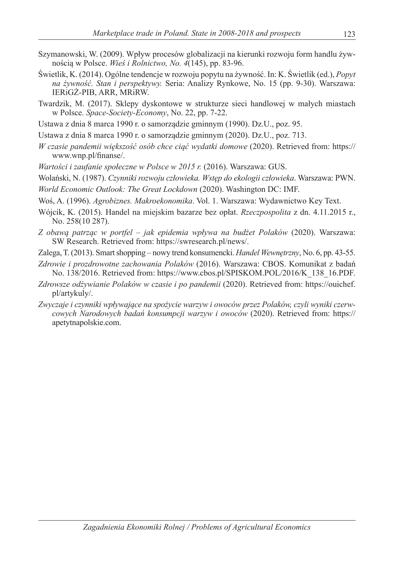- Szymanowski, W. (2009). Wpływ procesów globalizacji na kierunki rozwoju form handlu żywnością w Polsce. *Wieś i Rolnictwo, No. 4*(145), pp. 83-96.
- Świetlik, K. (2014). Ogólne tendencje w rozwoju popytu na żywność. In: K. Świetlik (ed.), *Popyt na żywność. Stan i perspektywy.* Seria: Analizy Rynkowe, No. 15 (pp. 9-30). Warszawa: IERiGŻ-PIB, ARR, MRiRW.
- Twardzik, M. (2017). Sklepy dyskontowe w strukturze sieci handlowej w małych miastach w Polsce. *Space-Society-Economy*, No. 22, pp. 7-22.
- Ustawa z dnia 8 marca 1990 r. o samorządzie gminnym (1990). Dz.U., poz. 95.
- Ustawa z dnia 8 marca 1990 r. o samorządzie gminnym (2020). Dz.U., poz. 713.
- *W czasie pandemii większość osób chce ciąć wydatki domowe* (2020). Retrieved from: https:// www.wnp.pl/finanse/.
- *Wartości i zaufanie społeczne w Polsce w 2015 r.* (2016). Warszawa: GUS.
- Wolański, N. (1987). *Czynniki rozwoju człowieka. Wstęp do ekologii człowieka*. Warszawa: PWN.
- *World Economic Outlook: The Great Lockdown* (2020). Washington DC: IMF.
- Woś, A. (1996). *Agrobiznes. Makroekonomika*. Vol. 1. Warszawa: Wydawnictwo Key Text.
- Wójcik, K. (2015). Handel na miejskim bazarze bez opłat. *Rzeczpospolita* z dn. 4.11.2015 r., No. 258(10 287).
- *Z obawą patrząc w portfel jak epidemia wpływa na budżet Polaków* (2020). Warszawa: SW Research. Retrieved from: https://swresearch.pl/news/.
- Zalega, T. (2013). Smart shopping nowy trend konsumencki. *Handel Wewnętrzny*, No. 6, pp. 43-55.
- *Zdrowie i prozdrowotne zachowania Polaków* (2016). Warszawa: CBOS. Komunikat z badań No. 138/2016. Retrieved from: https://www.cbos.pl/SPISKOM.POL/2016/K\_138\_16.PDF.
- *Zdrowsze odżywianie Polaków w czasie i po pandemii* (2020). Retrieved from: https://ouichef. pl/artykuly/.
- *Zwyczaje i czynniki wpływające na spożycie warzyw i owoców przez Polaków, czyli wyniki czerwcowych Narodowych badań konsumpcji warzyw i owoców* (2020). Retrieved from: https:// apetytnapolskie.com.